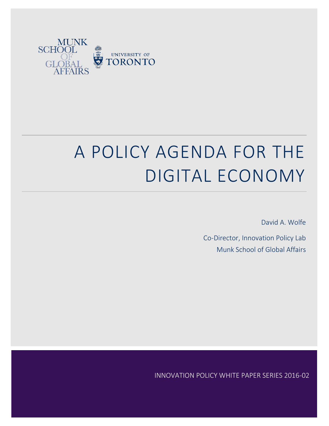

# A POLICY AGENDA FOR THE DIGITAL ECONOMY

David A. Wolfe

Co-Director, Innovation Policy Lab Munk School of Global Affairs

INNOVATION POLICY WHITE PAPER SERIES 2016-02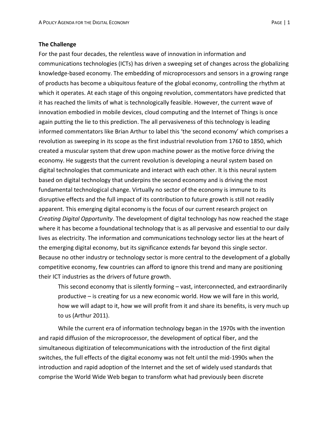### **The Challenge**

For the past four decades, the relentless wave of innovation in information and communications technologies (ICTs) has driven a sweeping set of changes across the globalizing knowledge-based economy. The embedding of microprocessors and sensors in a growing range of products has become a ubiquitous feature of the global economy, controlling the rhythm at which it operates. At each stage of this ongoing revolution, commentators have predicted that it has reached the limits of what is technologically feasible. However, the current wave of innovation embodied in mobile devices, cloud computing and the Internet of Things is once again putting the lie to this prediction. The all pervasiveness of this technology is leading informed commentators like Brian Arthur to label this 'the second economy' which comprises a revolution as sweeping in its scope as the first industrial revolution from 1760 to 1850, which created a muscular system that drew upon machine power as the motive force driving the economy. He suggests that the current revolution is developing a neural system based on digital technologies that communicate and interact with each other. It is this neural system based on digital technology that underpins the second economy and is driving the most fundamental technological change. Virtually no sector of the economy is immune to its disruptive effects and the full impact of its contribution to future growth is still not readily apparent. This emerging digital economy is the focus of our current research project on *Creating Digital Opportunity*. The development of digital technology has now reached the stage where it has become a foundational technology that is as all pervasive and essential to our daily lives as electricity. The information and communications technology sector lies at the heart of the emerging digital economy, but its significance extends far beyond this single sector. Because no other industry or technology sector is more central to the development of a globally competitive economy, few countries can afford to ignore this trend and many are positioning their ICT industries as the drivers of future growth.

This second economy that is silently forming – vast, interconnected, and extraordinarily productive – is creating for us a new economic world. How we will fare in this world, how we will adapt to it, how we will profit from it and share its benefits, is very much up to us (Arthur 2011).

While the current era of information technology began in the 1970s with the invention and rapid diffusion of the microprocessor, the development of optical fiber, and the simultaneous digitization of telecommunications with the introduction of the first digital switches, the full effects of the digital economy was not felt until the mid-1990s when the introduction and rapid adoption of the Internet and the set of widely used standards that comprise the World Wide Web began to transform what had previously been discrete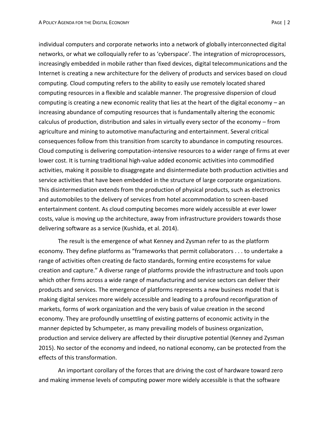individual computers and corporate networks into a network of globally interconnected digital networks, or what we colloquially refer to as 'cyberspace'. The integration of microprocessors, increasingly embedded in mobile rather than fixed devices, digital telecommunications and the Internet is creating a new architecture for the delivery of products and services based on cloud computing. Cloud computing refers to the ability to easily use remotely located shared computing resources in a flexible and scalable manner. The progressive dispersion of cloud computing is creating a new economic reality that lies at the heart of the digital economy – an increasing abundance of computing resources that is fundamentally altering the economic calculus of production, distribution and sales in virtually every sector of the economy – from agriculture and mining to automotive manufacturing and entertainment. Several critical consequences follow from this transition from scarcity to abundance in computing resources. Cloud computing is delivering computation-intensive resources to a wider range of firms at ever lower cost. It is turning traditional high-value added economic activities into commodified activities, making it possible to disaggregate and disintermediate both production activities and service activities that have been embedded in the structure of large corporate organizations. This disintermediation extends from the production of physical products, such as electronics and automobiles to the delivery of services from hotel accommodation to screen-based entertainment content. As cloud computing becomes more widely accessible at ever lower costs, value is moving up the architecture, away from infrastructure providers towards those delivering software as a service (Kushida, et al. 2014).

The result is the emergence of what Kenney and Zysman refer to as the platform economy. They define platforms as "frameworks that permit collaborators . . . to undertake a range of activities often creating de facto standards, forming entire ecosystems for value creation and capture." A diverse range of platforms provide the infrastructure and tools upon which other firms across a wide range of manufacturing and service sectors can deliver their products and services. The emergence of platforms represents a new business model that is making digital services more widely accessible and leading to a profound reconfiguration of markets, forms of work organization and the very basis of value creation in the second economy. They are profoundly unsettling of existing patterns of economic activity in the manner depicted by Schumpeter, as many prevailing models of business organization, production and service delivery are affected by their disruptive potential (Kenney and Zysman 2015). No sector of the economy and indeed, no national economy, can be protected from the effects of this transformation.

An important corollary of the forces that are driving the cost of hardware toward zero and making immense levels of computing power more widely accessible is that the software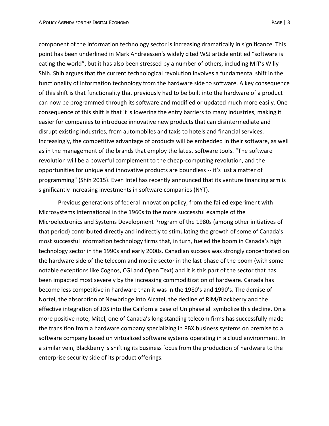component of the information technology sector is increasing dramatically in significance. This point has been underlined in Mark Andreessen's widely cited WSJ article entitled "software is eating the world", but it has also been stressed by a number of others, including MIT's Willy Shih. Shih argues that the current technological revolution involves a fundamental shift in the functionality of information technology from the hardware side to software. A key consequence of this shift is that functionality that previously had to be built into the hardware of a product can now be programmed through its software and modified or updated much more easily. One consequence of this shift is that it is lowering the entry barriers to many industries, making it easier for companies to introduce innovative new products that can disintermediate and disrupt existing industries, from automobiles and taxis to hotels and financial services. Increasingly, the competitive advantage of products will be embedded in their software, as well as in the management of the brands that employ the latest software tools. "The software revolution will be a powerful complement to the cheap-computing revolution, and the opportunities for unique and innovative products are boundless -- it's just a matter of programming" (Shih 2015). Even Intel has recently announced that its venture financing arm is significantly increasing investments in software companies (NYT).

Previous generations of federal innovation policy, from the failed experiment with Microsystems International in the 1960s to the more successful example of the Microelectronics and Systems Development Program of the 1980s (among other initiatives of that period) contributed directly and indirectly to stimulating the growth of some of Canada's most successful information technology firms that, in turn, fueled the boom in Canada's high technology sector in the 1990s and early 2000s. Canadian success was strongly concentrated on the hardware side of the telecom and mobile sector in the last phase of the boom (with some notable exceptions like Cognos, CGI and Open Text) and it is this part of the sector that has been impacted most severely by the increasing commoditization of hardware. Canada has become less competitive in hardware than it was in the 1980's and 1990's. The demise of Nortel, the absorption of Newbridge into Alcatel, the decline of RIM/Blackberry and the effective integration of JDS into the California base of Uniphase all symbolize this decline. On a more positive note, Mitel, one of Canada's long standing telecom firms has successfully made the transition from a hardware company specializing in PBX business systems on premise to a software company based on virtualized software systems operating in a cloud environment. In a similar vein, Blackberry is shifting its business focus from the production of hardware to the enterprise security side of its product offerings.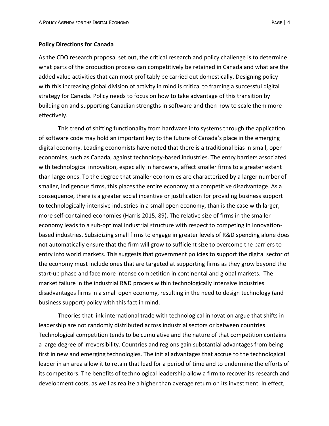#### **Policy Directions for Canada**

As the CDO research proposal set out, the critical research and policy challenge is to determine what parts of the production process can competitively be retained in Canada and what are the added value activities that can most profitably be carried out domestically. Designing policy with this increasing global division of activity in mind is critical to framing a successful digital strategy for Canada. Policy needs to focus on how to take advantage of this transition by building on and supporting Canadian strengths in software and then how to scale them more effectively.

This trend of shifting functionality from hardware into systems through the application of software code may hold an important key to the future of Canada's place in the emerging digital economy. Leading economists have noted that there is a traditional bias in small, open economies, such as Canada, against technology-based industries. The entry barriers associated with technological innovation, especially in hardware, affect smaller firms to a greater extent than large ones. To the degree that smaller economies are characterized by a larger number of smaller, indigenous firms, this places the entire economy at a competitive disadvantage. As a consequence, there is a greater social incentive or justification for providing business support to technologically-intensive industries in a small open economy, than is the case with larger, more self-contained economies (Harris 2015, 89). The relative size of firms in the smaller economy leads to a sub-optimal industrial structure with respect to competing in innovationbased industries. Subsidizing small firms to engage in greater levels of R&D spending alone does not automatically ensure that the firm will grow to sufficient size to overcome the barriers to entry into world markets. This suggests that government policies to support the digital sector of the economy must include ones that are targeted at supporting firms as they grow beyond the start-up phase and face more intense competition in continental and global markets. The market failure in the industrial R&D process within technologically intensive industries disadvantages firms in a small open economy, resulting in the need to design technology (and business support) policy with this fact in mind.

Theories that link international trade with technological innovation argue that shifts in leadership are not randomly distributed across industrial sectors or between countries. Technological competition tends to be cumulative and the nature of that competition contains a large degree of irreversibility. Countries and regions gain substantial advantages from being first in new and emerging technologies. The initial advantages that accrue to the technological leader in an area allow it to retain that lead for a period of time and to undermine the efforts of its competitors. The benefits of technological leadership allow a firm to recover its research and development costs, as well as realize a higher than average return on its investment. In effect,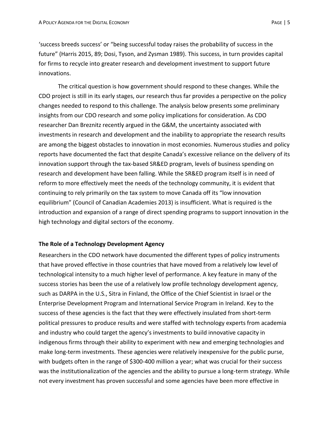'success breeds success' or "being successful today raises the probability of success in the future" (Harris 2015, 89; Dosi, Tyson, and Zysman 1989). This success, in turn provides capital for firms to recycle into greater research and development investment to support future innovations.

The critical question is how government should respond to these changes. While the CDO project is still in its early stages, our research thus far provides a perspective on the policy changes needed to respond to this challenge. The analysis below presents some preliminary insights from our CDO research and some policy implications for consideration. As CDO researcher Dan Breznitz recently argued in the G&M, the uncertainty associated with investments in research and development and the inability to appropriate the research results are among the biggest obstacles to innovation in most economies. Numerous studies and policy reports have documented the fact that despite Canada's excessive reliance on the delivery of its innovation support through the tax-based SR&ED program, levels of business spending on research and development have been falling. While the SR&ED program itself is in need of reform to more effectively meet the needs of the technology community, it is evident that continuing to rely primarily on the tax system to move Canada off its "low innovation equilibrium" (Council of Canadian Academies 2013) is insufficient. What is required is the introduction and expansion of a range of direct spending programs to support innovation in the high technology and digital sectors of the economy.

# **The Role of a Technology Development Agency**

Researchers in the CDO network have documented the different types of policy instruments that have proved effective in those countries that have moved from a relatively low level of technological intensity to a much higher level of performance. A key feature in many of the success stories has been the use of a relatively low profile technology development agency, such as DARPA in the U.S., Sitra in Finland, the Office of the Chief Scientist in Israel or the Enterprise Development Program and International Service Program in Ireland. Key to the success of these agencies is the fact that they were effectively insulated from short-term political pressures to produce results and were staffed with technology experts from academia and industry who could target the agency's investments to build innovative capacity in indigenous firms through their ability to experiment with new and emerging technologies and make long-term investments. These agencies were relatively inexpensive for the public purse, with budgets often in the range of \$300-400 million a year; what was crucial for their success was the institutionalization of the agencies and the ability to pursue a long-term strategy. While not every investment has proven successful and some agencies have been more effective in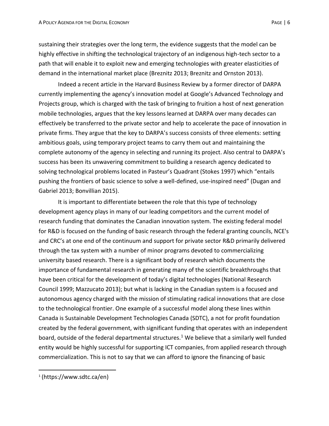sustaining their strategies over the long term, the evidence suggests that the model can be highly effective in shifting the technological trajectory of an indigenous high-tech sector to a path that will enable it to exploit new and emerging technologies with greater elasticities of demand in the international market place (Breznitz 2013; Breznitz and Ornston 2013).

Indeed a recent article in the Harvard Business Review by a former director of DARPA currently implementing the agency's innovation model at Google's Advanced Technology and Projects group, which is charged with the task of bringing to fruition a host of next generation mobile technologies, argues that the key lessons learned at DARPA over many decades can effectively be transferred to the private sector and help to accelerate the pace of innovation in private firms. They argue that the key to DARPA's success consists of three elements: setting ambitious goals, using temporary project teams to carry them out and maintaining the complete autonomy of the agency in selecting and running its project. Also central to DARPA's success has been its unwavering commitment to building a research agency dedicated to solving technological problems located in Pasteur's Quadrant (Stokes 1997) which "entails pushing the frontiers of basic science to solve a well-defined, use-inspired need" (Dugan and Gabriel 2013; Bonvillian 2015).

It is important to differentiate between the role that this type of technology development agency plays in many of our leading competitors and the current model of research funding that dominates the Canadian innovation system. The existing federal model for R&D is focused on the funding of basic research through the federal granting councils, NCE's and CRC's at one end of the continuum and support for private sector R&D primarily delivered through the tax system with a number of minor programs devoted to commercializing university based research. There is a significant body of research which documents the importance of fundamental research in generating many of the scientific breakthroughs that have been critical for the development of today's digital technologies (National Research Council 1999; Mazzucato 2013); but what is lacking in the Canadian system is a focused and autonomous agency charged with the mission of stimulating radical innovations that are close to the technological frontier. One example of a successful model along these lines within Canada is Sustainable Development Technologies Canada (SDTC), a not for profit foundation created by the federal government, with significant funding that operates with an independent board, outside of the federal departmental structures.<sup>1</sup> We believe that a similarly well funded entity would be highly successful for supporting ICT companies, from applied research through commercialization. This is not to say that we can afford to ignore the financing of basic

 $\overline{a}$ 

<sup>1</sup> (https://www.sdtc.ca/en)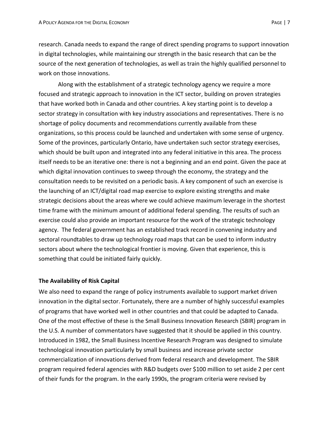research. Canada needs to expand the range of direct spending programs to support innovation in digital technologies, while maintaining our strength in the basic research that can be the source of the next generation of technologies, as well as train the highly qualified personnel to work on those innovations.

Along with the establishment of a strategic technology agency we require a more focused and strategic approach to innovation in the ICT sector, building on proven strategies that have worked both in Canada and other countries. A key starting point is to develop a sector strategy in consultation with key industry associations and representatives. There is no shortage of policy documents and recommendations currently available from these organizations, so this process could be launched and undertaken with some sense of urgency. Some of the provinces, particularly Ontario, have undertaken such sector strategy exercises, which should be built upon and integrated into any federal initiative in this area. The process itself needs to be an iterative one: there is not a beginning and an end point. Given the pace at which digital innovation continues to sweep through the economy, the strategy and the consultation needs to be revisited on a periodic basis. A key component of such an exercise is the launching of an ICT/digital road map exercise to explore existing strengths and make strategic decisions about the areas where we could achieve maximum leverage in the shortest time frame with the minimum amount of additional federal spending. The results of such an exercise could also provide an important resource for the work of the strategic technology agency. The federal government has an established track record in convening industry and sectoral roundtables to draw up technology road maps that can be used to inform industry sectors about where the technological frontier is moving. Given that experience, this is something that could be initiated fairly quickly.

# **The Availability of Risk Capital**

We also need to expand the range of policy instruments available to support market driven innovation in the digital sector. Fortunately, there are a number of highly successful examples of programs that have worked well in other countries and that could be adapted to Canada. One of the most effective of these is the Small Business Innovation Research (SBIR) program in the U.S. A number of commentators have suggested that it should be applied in this country. Introduced in 1982, the Small Business Incentive Research Program was designed to simulate technological innovation particularly by small business and increase private sector commercialization of innovations derived from federal research and development. The SBIR program required federal agencies with R&D budgets over \$100 million to set aside 2 per cent of their funds for the program. In the early 1990s, the program criteria were revised by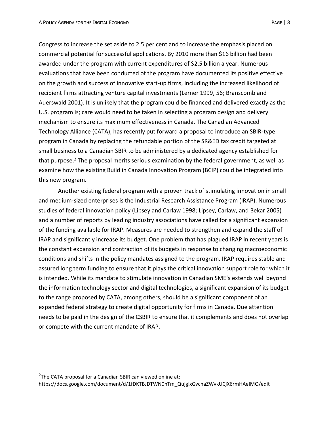Congress to increase the set aside to 2.5 per cent and to increase the emphasis placed on commercial potential for successful applications. By 2010 more than \$16 billion had been awarded under the program with current expenditures of \$2.5 billion a year. Numerous evaluations that have been conducted of the program have documented its positive effective on the growth and success of innovative start**-**up firms, including the increased likelihood of recipient firms attracting venture capital investments (Lerner 1999, 56; Branscomb and Auerswald 2001). It is unlikely that the program could be financed and delivered exactly as the U.S. program is; care would need to be taken in selecting a program design and delivery mechanism to ensure its maximum effectiveness in Canada. The Canadian Advanced Technology Alliance (CATA), has recently put forward a proposal to introduce an SBIR-type program in Canada by replacing the refundable portion of the SR&ED tax credit targeted at small business to a Canadian SBIR to be administered by a dedicated agency established for that purpose.<sup>2</sup> The proposal merits serious examination by the federal government, as well as examine how the existing Build in Canada Innovation Program (BCIP) could be integrated into this new program.

Another existing federal program with a proven track of stimulating innovation in small and medium-sized enterprises is the Industrial Research Assistance Program (IRAP). Numerous studies of federal innovation policy (Lipsey and Carlaw 1998; Lipsey, Carlaw, and Bekar 2005) and a number of reports by leading industry associations have called for a significant expansion of the funding available for IRAP. Measures are needed to strengthen and expand the staff of IRAP and significantly increase its budget. One problem that has plagued IRAP in recent years is the constant expansion and contraction of its budgets in response to changing macroeconomic conditions and shifts in the policy mandates assigned to the program. IRAP requires stable and assured long term funding to ensure that it plays the critical innovation support role for which it is intended. While its mandate to stimulate innovation in Canadian SME's extends well beyond the information technology sector and digital technologies, a significant expansion of its budget to the range proposed by CATA, among others, should be a significant component of an expanded federal strategy to create digital opportunity for firms in Canada. Due attention needs to be paid in the design of the CSBIR to ensure that it complements and does not overlap or compete with the current mandate of IRAP.

 $\overline{a}$ 

 $2$ The CATA proposal for a Canadian SBIR can viewed online at:

https://docs.google.com/document/d/1fDKTBJDTWN0nTm\_QujgixGvcnaZWvkUCjX6rmHAeIMQ/edit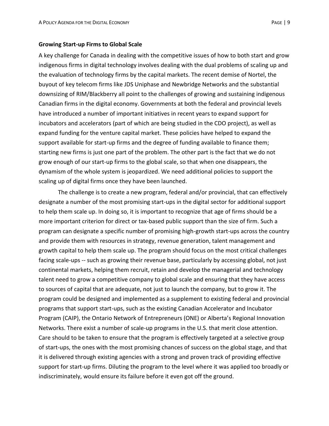#### **Growing Start-up Firms to Global Scale**

A key challenge for Canada in dealing with the competitive issues of how to both start and grow indigenous firms in digital technology involves dealing with the dual problems of scaling up and the evaluation of technology firms by the capital markets. The recent demise of Nortel, the buyout of key telecom firms like JDS Uniphase and Newbridge Networks and the substantial downsizing of RIM/Blackberry all point to the challenges of growing and sustaining indigenous Canadian firms in the digital economy. Governments at both the federal and provincial levels have introduced a number of important initiatives in recent years to expand support for incubators and accelerators (part of which are being studied in the CDO project), as well as expand funding for the venture capital market. These policies have helped to expand the support available for start-up firms and the degree of funding available to finance them; starting new firms is just one part of the problem. The other part is the fact that we do not grow enough of our start-up firms to the global scale, so that when one disappears, the dynamism of the whole system is jeopardized. We need additional policies to support the scaling up of digital firms once they have been launched.

The challenge is to create a new program, federal and/or provincial, that can effectively designate a number of the most promising start-ups in the digital sector for additional support to help them scale up. In doing so, it is important to recognize that age of firms should be a more important criterion for direct or tax-based public support than the size of firm. Such a program can designate a specific number of promising high-growth start-ups across the country and provide them with resources in strategy, revenue generation, talent management and growth capital to help them scale up. The program should focus on the most critical challenges facing scale-ups -- such as growing their revenue base, particularly by accessing global, not just continental markets, helping them recruit, retain and develop the managerial and technology talent need to grow a competitive company to global scale and ensuring that they have access to sources of capital that are adequate, not just to launch the company, but to grow it. The program could be designed and implemented as a supplement to existing federal and provincial programs that support start-ups, such as the existing Canadian Accelerator and Incubator Program (CAIP), the Ontario Network of Entrepreneurs (ONE) or Alberta's Regional Innovation Networks. There exist a number of scale-up programs in the U.S. that merit close attention. Care should to be taken to ensure that the program is effectively targeted at a selective group of start-ups, the ones with the most promising chances of success on the global stage, and that it is delivered through existing agencies with a strong and proven track of providing effective support for start-up firms. Diluting the program to the level where it was applied too broadly or indiscriminately, would ensure its failure before it even got off the ground.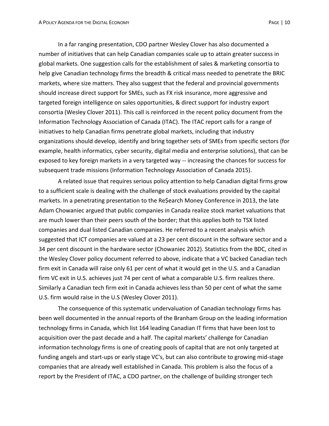In a far ranging presentation, CDO partner Wesley Clover has also documented a number of initiatives that can help Canadian companies scale up to attain greater success in global markets. One suggestion calls for the establishment of sales & marketing consortia to help give Canadian technology firms the breadth & critical mass needed to penetrate the BRIC markets, where size matters. They also suggest that the federal and provincial governments should increase direct support for SMEs, such as FX risk insurance, more aggressive and targeted foreign intelligence on sales opportunities, & direct support for industry export consortia (Wesley Clover 2011). This call is reinforced in the recent policy document from the Information Technology Association of Canada (ITAC). The ITAC report calls for a range of initiatives to help Canadian firms penetrate global markets, including that industry organizations should develop, identify and bring together sets of SMEs from specific sectors (for example, health informatics, cyber security, digital media and enterprise solutions), that can be exposed to key foreign markets in a very targeted way -- increasing the chances for success for subsequent trade missions (Information Technology Association of Canada 2015).

A related issue that requires serious policy attention to help Canadian digital firms grow to a sufficient scale is dealing with the challenge of stock evaluations provided by the capital markets. In a penetrating presentation to the Re\$earch Money Conference in 2013, the late Adam Chowaniec argued that public companies in Canada realize stock market valuations that are much lower than their peers south of the border; that this applies both to TSX listed companies and dual listed Canadian companies. He referred to a recent analysis which suggested that ICT companies are valued at a 23 per cent discount in the software sector and a 34 per cent discount in the hardware sector (Chowaniec 2012). Statistics from the BDC, cited in the Wesley Clover policy document referred to above, indicate that a VC backed Canadian tech firm exit in Canada will raise only 61 per cent of what it would get in the U.S. and a Canadian firm VC exit in U.S. achieves just 74 per cent of what a comparable U.S. firm realizes there. Similarly a Canadian tech firm exit in Canada achieves less than 50 per cent of what the same U.S. firm would raise in the U.S (Wesley Clover 2011).

The consequence of this systematic undervaluation of Canadian technology firms has been well documented in the annual reports of the Branham Group on the leading information technology firms in Canada, which list 164 leading Canadian IT firms that have been lost to acquisition over the past decade and a half. The capital markets' challenge for Canadian information technology firms is one of creating pools of capital that are not only targeted at funding angels and start-ups or early stage VC's, but can also contribute to growing mid-stage companies that are already well established in Canada. This problem is also the focus of a report by the President of ITAC, a CDO partner, on the challenge of building stronger tech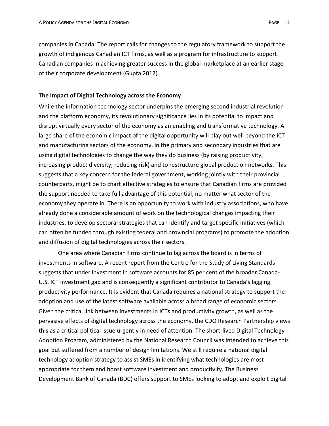companies in Canada. The report calls for changes to the regulatory framework to support the growth of indigenous Canadian ICT firms, as well as a program for infrastructure to support Canadian companies in achieving greater success in the global marketplace at an earlier stage of their corporate development (Gupta 2012).

### **The Impact of Digital Technology across the Economy**

While the information technology sector underpins the emerging second industrial revolution and the platform economy, its revolutionary significance lies in its potential to impact and disrupt virtually every sector of the economy as an enabling and transformative technology. A large share of the economic impact of the digital opportunity will play out well beyond the ICT and manufacturing sectors of the economy, in the primary and secondary industries that are using digital technologies to change the way they do business (by raising productivity, increasing product diversity, reducing risk) and to restructure global production networks. This suggests that a key concern for the federal government, working jointly with their provincial counterparts, might be to chart effective strategies to ensure that Canadian firms are provided the support needed to take full advantage of this potential, no matter what sector of the economy they operate in. There is an opportunity to work with industry associations, who have already done a considerable amount of work on the technological changes impacting their industries, to develop sectoral strategies that can identify and target specific initiatives (which can often be funded through existing federal and provincial programs) to promote the adoption and diffusion of digital technologies across their sectors.

One area where Canadian firms continue to lag across the board is in terms of investments in software. A recent report from the Centre for the Study of Living Standards suggests that under investment in software accounts for 85 per cent of the broader Canada-U.S. ICT investment gap and is consequently a significant contributor to Canada's lagging productivity performance. It is evident that Canada requires a national strategy to support the adoption and use of the latest software available across a broad range of economic sectors. Given the critical link between investments in ICTs and productivity growth, as well as the pervasive effects of digital technology across the economy, the CDO Research Partnership views this as a critical political issue urgently in need of attention. The short-lived Digital Technology Adoption Program, administered by the National Research Council was intended to achieve this goal but suffered from a number of design limitations. We still require a national digital technology adoption strategy to assist SMEs in identifying what technologies are most appropriate for them and boost software investment and productivity. The Business Development Bank of Canada (BDC) offers support to SMEs looking to adopt and exploit digital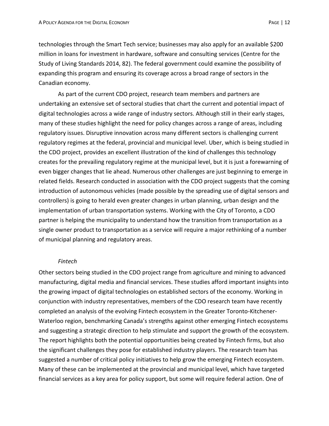technologies through the Smart Tech service; businesses may also apply for an available \$200 million in loans for investment in hardware, software and consulting services (Centre for the Study of Living Standards 2014, 82). The federal government could examine the possibility of expanding this program and ensuring its coverage across a broad range of sectors in the Canadian economy.

As part of the current CDO project, research team members and partners are undertaking an extensive set of sectoral studies that chart the current and potential impact of digital technologies across a wide range of industry sectors. Although still in their early stages, many of these studies highlight the need for policy changes across a range of areas, including regulatory issues. Disruptive innovation across many different sectors is challenging current regulatory regimes at the federal, provincial and municipal level. Uber, which is being studied in the CDO project, provides an excellent illustration of the kind of challenges this technology creates for the prevailing regulatory regime at the municipal level, but it is just a forewarning of even bigger changes that lie ahead. Numerous other challenges are just beginning to emerge in related fields. Research conducted in association with the CDO project suggests that the coming introduction of autonomous vehicles (made possible by the spreading use of digital sensors and controllers) is going to herald even greater changes in urban planning, urban design and the implementation of urban transportation systems. Working with the City of Toronto, a CDO partner is helping the municipality to understand how the transition from transportation as a single owner product to transportation as a service will require a major rethinking of a number of municipal planning and regulatory areas.

#### *Fintech*

Other sectors being studied in the CDO project range from agriculture and mining to advanced manufacturing, digital media and financial services. These studies afford important insights into the growing impact of digital technologies on established sectors of the economy. Working in conjunction with industry representatives, members of the CDO research team have recently completed an analysis of the evolving Fintech ecosystem in the Greater Toronto-Kitchener-Waterloo region, benchmarking Canada's strengths against other emerging Fintech ecosystems and suggesting a strategic direction to help stimulate and support the growth of the ecosystem. The report highlights both the potential opportunities being created by Fintech firms, but also the significant challenges they pose for established industry players. The research team has suggested a number of critical policy initiatives to help grow the emerging Fintech ecosystem. Many of these can be implemented at the provincial and municipal level, which have targeted financial services as a key area for policy support, but some will require federal action. One of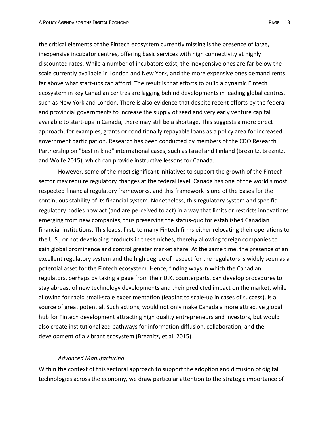the critical elements of the Fintech ecosystem currently missing is the presence of large, inexpensive incubator centres, offering basic services with high connectivity at highly discounted rates. While a number of incubators exist, the inexpensive ones are far below the scale currently available in London and New York, and the more expensive ones demand rents far above what start-ups can afford. The result is that efforts to build a dynamic Fintech ecosystem in key Canadian centres are lagging behind developments in leading global centres, such as New York and London. There is also evidence that despite recent efforts by the federal and provincial governments to increase the supply of seed and very early venture capital available to start-ups in Canada, there may still be a shortage. This suggests a more direct approach, for examples, grants or conditionally repayable loans as a policy area for increased government participation. Research has been conducted by members of the CDO Research Partnership on "best in kind" international cases, such as Israel and Finland (Breznitz, Breznitz, and Wolfe 2015), which can provide instructive lessons for Canada.

However, some of the most significant initiatives to support the growth of the Fintech sector may require regulatory changes at the federal level. Canada has one of the world's most respected financial regulatory frameworks, and this framework is one of the bases for the continuous stability of its financial system. Nonetheless, this regulatory system and specific regulatory bodies now act (and are perceived to act) in a way that limits or restricts innovations emerging from new companies, thus preserving the status-quo for established Canadian financial institutions. This leads, first, to many Fintech firms either relocating their operations to the U.S., or not developing products in these niches, thereby allowing foreign companies to gain global prominence and control greater market share. At the same time, the presence of an excellent regulatory system and the high degree of respect for the regulators is widely seen as a potential asset for the Fintech ecosystem. Hence, finding ways in which the Canadian regulators, perhaps by taking a page from their U.K. counterparts, can develop procedures to stay abreast of new technology developments and their predicted impact on the market, while allowing for rapid small-scale experimentation (leading to scale-up in cases of success), is a source of great potential. Such actions, would not only make Canada a more attractive global hub for Fintech development attracting high quality entrepreneurs and investors, but would also create institutionalized pathways for information diffusion, collaboration, and the development of a vibrant ecosystem (Breznitz, et al. 2015).

# *Advanced Manufacturing*

Within the context of this sectoral approach to support the adoption and diffusion of digital technologies across the economy, we draw particular attention to the strategic importance of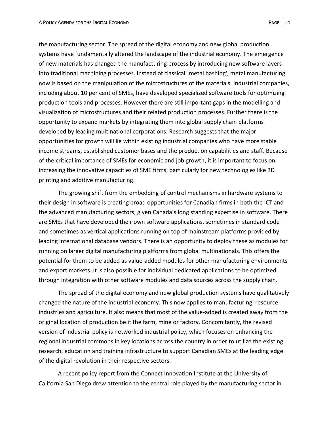the manufacturing sector. The spread of the digital economy and new global production systems have fundamentally altered the landscape of the industrial economy. The emergence of new materials has changed the manufacturing process by introducing new software layers into traditional machining processes. Instead of classical `metal bashing', metal manufacturing now is based on the manipulation of the microstructures of the materials. Industrial companies, including about 10 per cent of SMEs, have developed specialized software tools for optimizing production tools and processes. However there are still important gaps in the modelling and visualization of microstructures and their related production processes. Further there is the opportunity to expand markets by integrating them into global supply chain platforms developed by leading multinational corporations. Research suggests that the major opportunities for growth will lie within existing industrial companies who have more stable income streams, established customer bases and the production capabilities and staff. Because of the critical importance of SMEs for economic and job growth, it is important to focus on increasing the innovative capacities of SME firms, particularly for new technologies like 3D printing and additive manufacturing.

The growing shift from the embedding of control mechanisms in hardware systems to their design in software is creating broad opportunities for Canadian firms in both the ICT and the advanced manufacturing sectors, given Canada's long standing expertise in software. There are SMEs that have developed their own software applications, sometimes in standard code and sometimes as vertical applications running on top of mainstream platforms provided by leading international database vendors. There is an opportunity to deploy these as modules for running on larger digital manufacturing platforms from global multinationals. This offers the potential for them to be added as value-added modules for other manufacturing environments and export markets. It is also possible for individual dedicated applications to be optimized through integration with other software modules and data sources across the supply chain.

The spread of the digital economy and new global production systems have qualitatively changed the nature of the industrial economy. This now applies to manufacturing, resource industries and agriculture. It also means that most of the value-added is created away from the original location of production be it the farm, mine or factory. Concomitantly, the revised version of industrial policy is networked industrial policy, which focuses on enhancing the regional industrial commons in key locations across the country in order to utilize the existing research, education and training infrastructure to support Canadian SMEs at the leading edge of the digital revolution in their respective sectors.

A recent policy report from the Connect Innovation Institute at the University of California San Diego drew attention to the central role played by the manufacturing sector in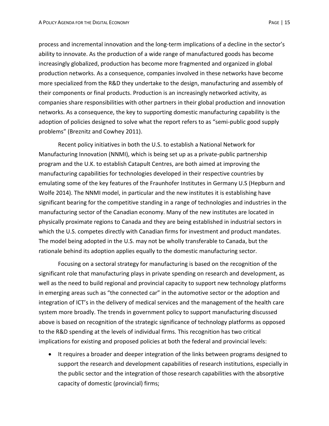process and incremental innovation and the long-term implications of a decline in the sector's ability to innovate. As the production of a wide range of manufactured goods has become increasingly globalized, production has become more fragmented and organized in global production networks. As a consequence, companies involved in these networks have become more specialized from the R&D they undertake to the design, manufacturing and assembly of their components or final products. Production is an increasingly networked activity, as companies share responsibilities with other partners in their global production and innovation networks. As a consequence, the key to supporting domestic manufacturing capability is the adoption of policies designed to solve what the report refers to as "semi-public good supply problems" (Breznitz and Cowhey 2011).

Recent policy initiatives in both the U.S. to establish a National Network for Manufacturing Innovation (NNMI), which is being set up as a private-public partnership program and the U.K. to establish Catapult Centres, are both aimed at improving the manufacturing capabilities for technologies developed in their respective countries by emulating some of the key features of the Fraunhofer Institutes in Germany U.S (Hepburn and Wolfe 2014). The NNMI model, in particular and the new institutes it is establishing have significant bearing for the competitive standing in a range of technologies and industries in the manufacturing sector of the Canadian economy. Many of the new institutes are located in physically proximate regions to Canada and they are being established in industrial sectors in which the U.S. competes directly with Canadian firms for investment and product mandates. The model being adopted in the U.S. may not be wholly transferable to Canada, but the rationale behind its adoption applies equally to the domestic manufacturing sector.

Focusing on a sectoral strategy for manufacturing is based on the recognition of the significant role that manufacturing plays in private spending on research and development, as well as the need to build regional and provincial capacity to support new technology platforms in emerging areas such as "the connected car" in the automotive sector or the adoption and integration of ICT's in the delivery of medical services and the management of the health care system more broadly. The trends in government policy to support manufacturing discussed above is based on recognition of the strategic significance of technology platforms as opposed to the R&D spending at the levels of individual firms. This recognition has two critical implications for existing and proposed policies at both the federal and provincial levels:

• It requires a broader and deeper integration of the links between programs designed to support the research and development capabilities of research institutions, especially in the public sector and the integration of those research capabilities with the absorptive capacity of domestic (provincial) firms;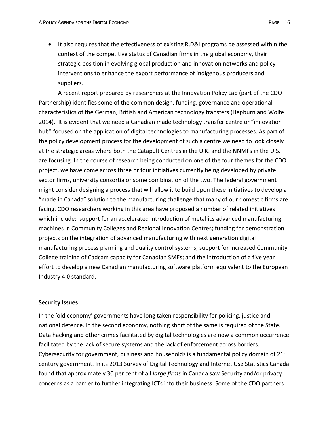It also requires that the effectiveness of existing R,D&I programs be assessed within the context of the competitive status of Canadian firms in the global economy, their strategic position in evolving global production and innovation networks and policy interventions to enhance the export performance of indigenous producers and suppliers.

A recent report prepared by researchers at the Innovation Policy Lab (part of the CDO Partnership) identifies some of the common design, funding, governance and operational characteristics of the German, British and American technology transfers (Hepburn and Wolfe 2014). It is evident that we need a Canadian made technology transfer centre or "innovation hub" focused on the application of digital technologies to manufacturing processes. As part of the policy development process for the development of such a centre we need to look closely at the strategic areas where both the Catapult Centres in the U.K. and the NNMI's in the U.S. are focusing. In the course of research being conducted on one of the four themes for the CDO project, we have come across three or four initiatives currently being developed by private sector firms, university consortia or some combination of the two. The federal government might consider designing a process that will allow it to build upon these initiatives to develop a "made in Canada" solution to the manufacturing challenge that many of our domestic firms are facing. CDO researchers working in this area have proposed a number of related initiatives which include: support for an accelerated introduction of metallics advanced manufacturing machines in Community Colleges and Regional Innovation Centres; funding for demonstration projects on the integration of advanced manufacturing with next generation digital manufacturing process planning and quality control systems; support for increased Community College training of Cadcam capacity for Canadian SMEs; and the introduction of a five year effort to develop a new Canadian manufacturing software platform equivalent to the European Industry 4.0 standard.

#### **Security Issues**

In the 'old economy' governments have long taken responsibility for policing, justice and national defence. In the second economy, nothing short of the same is required of the State. Data hacking and other crimes facilitated by digital technologies are now a common occurrence facilitated by the lack of secure systems and the lack of enforcement across borders. Cybersecurity for government, business and households is a fundamental policy domain of  $21^{st}$ century government. In its 2013 Survey of Digital Technology and Internet Use Statistics Canada found that approximately 30 per cent of all *large firms* in Canada saw Security and/or privacy concerns as a barrier to further integrating ICTs into their business. Some of the CDO partners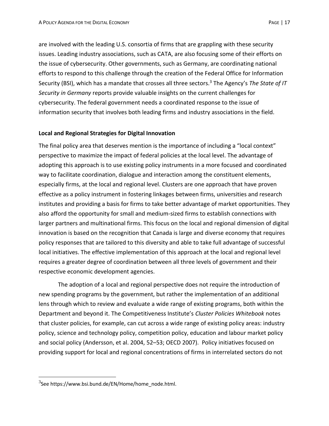are involved with the leading U.S. consortia of firms that are grappling with these security issues. Leading industry associations, such as CATA, are also focusing some of their efforts on the issue of cybersecurity. Other governments, such as Germany, are coordinating national efforts to respond to this challenge through the creation of the Federal Office for Information Security (BSI), which has a mandate that crosses all three sectors.<sup>3</sup> The Agency's *The State of IT Security in Germany* reports provide valuable insights on the current challenges for cybersecurity. The federal government needs a coordinated response to the issue of information security that involves both leading firms and industry associations in the field.

# **Local and Regional Strategies for Digital Innovation**

The final policy area that deserves mention is the importance of including a "local context" perspective to maximize the impact of federal policies at the local level. The advantage of adopting this approach is to use existing policy instruments in a more focused and coordinated way to facilitate coordination, dialogue and interaction among the constituent elements, especially firms, at the local and regional level. Clusters are one approach that have proven effective as a policy instrument in fostering linkages between firms, universities and research institutes and providing a basis for firms to take better advantage of market opportunities. They also afford the opportunity for small and medium-sized firms to establish connections with larger partners and multinational firms. This focus on the local and regional dimension of digital innovation is based on the recognition that Canada is large and diverse economy that requires policy responses that are tailored to this diversity and able to take full advantage of successful local initiatives. The effective implementation of this approach at the local and regional level requires a greater degree of coordination between all three levels of government and their respective economic development agencies.

The adoption of a local and regional perspective does not require the introduction of new spending programs by the government, but rather the implementation of an additional lens through which to review and evaluate a wide range of existing programs, both within the Department and beyond it. The Competitiveness Institute's *Cluster Policies Whitebook* notes that cluster policies, for example, can cut across a wide range of existing policy areas: industry policy, science and technology policy, competition policy, education and labour market policy and social policy (Andersson, et al. 2004, 52–53; OECD 2007). Policy initiatives focused on providing support for local and regional concentrations of firms in interrelated sectors do not

 $\overline{a}$ 

 $^3$ See https://www.bsi.bund.de/EN/Home/home\_node.html.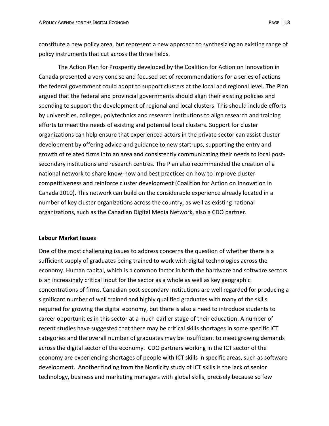constitute a new policy area, but represent a new approach to synthesizing an existing range of policy instruments that cut across the three fields.

The Action Plan for Prosperity developed by the Coalition for Action on Innovation in Canada presented a very concise and focused set of recommendations for a series of actions the federal government could adopt to support clusters at the local and regional level. The Plan argued that the federal and provincial governments should align their existing policies and spending to support the development of regional and local clusters. This should include efforts by universities, colleges, polytechnics and research institutions to align research and training efforts to meet the needs of existing and potential local clusters. Support for cluster organizations can help ensure that experienced actors in the private sector can assist cluster development by offering advice and guidance to new start-ups, supporting the entry and growth of related firms into an area and consistently communicating their needs to local postsecondary institutions and research centres. The Plan also recommended the creation of a national network to share know-how and best practices on how to improve cluster competitiveness and reinforce cluster development (Coalition for Action on Innovation in Canada 2010). This network can build on the considerable experience already located in a number of key cluster organizations across the country, as well as existing national organizations, such as the Canadian Digital Media Network, also a CDO partner.

# **Labour Market Issues**

One of the most challenging issues to address concerns the question of whether there is a sufficient supply of graduates being trained to work with digital technologies across the economy. Human capital, which is a common factor in both the hardware and software sectors is an increasingly critical input for the sector as a whole as well as key geographic concentrations of firms. Canadian post-secondary institutions are well regarded for producing a significant number of well trained and highly qualified graduates with many of the skills required for growing the digital economy, but there is also a need to introduce students to career opportunities in this sector at a much earlier stage of their education. A number of recent studies have suggested that there may be critical skills shortages in some specific ICT categories and the overall number of graduates may be insufficient to meet growing demands across the digital sector of the economy. CDO partners working in the ICT sector of the economy are experiencing shortages of people with ICT skills in specific areas, such as software development. Another finding from the Nordicity study of ICT skills is the lack of senior technology, business and marketing managers with global skills, precisely because so few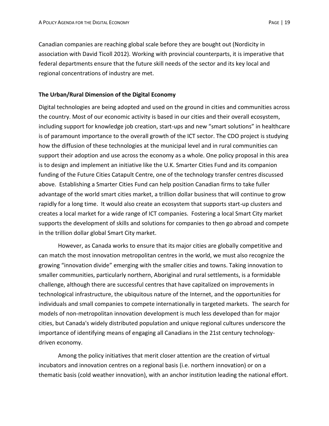Canadian companies are reaching global scale before they are bought out (Nordicity in association with David Ticoll 2012). Working with provincial counterparts, it is imperative that federal departments ensure that the future skill needs of the sector and its key local and regional concentrations of industry are met.

## **The Urban/Rural Dimension of the Digital Economy**

Digital technologies are being adopted and used on the ground in cities and communities across the country. Most of our economic activity is based in our cities and their overall ecosystem, including support for knowledge job creation, start-ups and new "smart solutions" in healthcare is of paramount importance to the overall growth of the ICT sector. The CDO project is studying how the diffusion of these technologies at the municipal level and in rural communities can support their adoption and use across the economy as a whole. One policy proposal in this area is to design and implement an initiative like the U.K. Smarter Cities Fund and its companion funding of the Future Cities Catapult Centre, one of the technology transfer centres discussed above. Establishing a Smarter Cities Fund can help position Canadian firms to take fuller advantage of the world smart cities market, a trillion dollar business that will continue to grow rapidly for a long time. It would also create an ecosystem that supports start-up clusters and creates a local market for a wide range of ICT companies. Fostering a local Smart City market supports the development of skills and solutions for companies to then go abroad and compete in the trillion dollar global Smart City market.

However, as Canada works to ensure that its major cities are globally competitive and can match the most innovation metropolitan centres in the world, we must also recognize the growing "innovation divide" emerging with the smaller cities and towns. Taking innovation to smaller communities, particularly northern, Aboriginal and rural settlements, is a formidable challenge, although there are successful centres that have capitalized on improvements in technological infrastructure, the ubiquitous nature of the Internet, and the opportunities for individuals and small companies to compete internationally in targeted markets. The search for models of non-metropolitan innovation development is much less developed than for major cities, but Canada's widely distributed population and unique regional cultures underscore the importance of identifying means of engaging all Canadians in the 21st century technologydriven economy.

Among the policy initiatives that merit closer attention are the creation of virtual incubators and innovation centres on a regional basis (i.e. northern innovation) or on a thematic basis (cold weather innovation), with an anchor institution leading the national effort.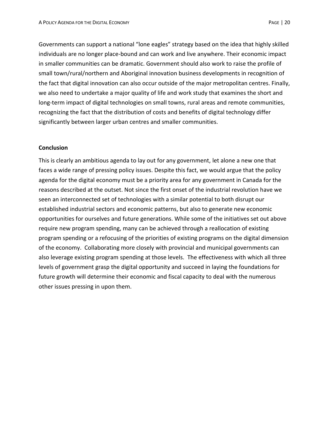Governments can support a national "lone eagles" strategy based on the idea that highly skilled individuals are no longer place-bound and can work and live anywhere. Their economic impact in smaller communities can be dramatic. Government should also work to raise the profile of small town/rural/northern and Aboriginal innovation business developments in recognition of the fact that digital innovation can also occur outside of the major metropolitan centres. Finally, we also need to undertake a major quality of life and work study that examines the short and long-term impact of digital technologies on small towns, rural areas and remote communities, recognizing the fact that the distribution of costs and benefits of digital technology differ significantly between larger urban centres and smaller communities.

## **Conclusion**

This is clearly an ambitious agenda to lay out for any government, let alone a new one that faces a wide range of pressing policy issues. Despite this fact, we would argue that the policy agenda for the digital economy must be a priority area for any government in Canada for the reasons described at the outset. Not since the first onset of the industrial revolution have we seen an interconnected set of technologies with a similar potential to both disrupt our established industrial sectors and economic patterns, but also to generate new economic opportunities for ourselves and future generations. While some of the initiatives set out above require new program spending, many can be achieved through a reallocation of existing program spending or a refocusing of the priorities of existing programs on the digital dimension of the economy. Collaborating more closely with provincial and municipal governments can also leverage existing program spending at those levels. The effectiveness with which all three levels of government grasp the digital opportunity and succeed in laying the foundations for future growth will determine their economic and fiscal capacity to deal with the numerous other issues pressing in upon them.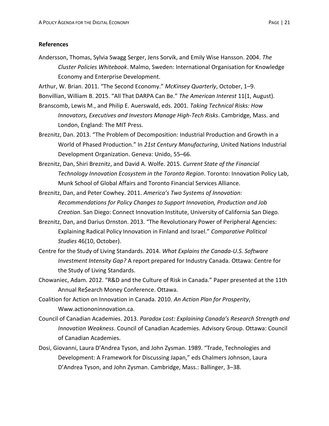## **References**

Andersson, Thomas, Sylvia Swagg Serger, Jens Sorvik, and Emily Wise Hansson. 2004. *The Cluster Policies Whitebook*. Malmo, Sweden: International Organisation for Knowledge Economy and Enterprise Development.

Arthur, W. Brian. 2011. "The Second Economy." *McKinsey Quarterly*, October, 1–9. Bonvillian, William B. 2015. "All That DARPA Can Be." *The American Interest* 11(1, August).

- Branscomb, Lewis M., and Philip E. Auerswald, eds. 2001. *Taking Technical Risks: How Innovators, Executives and Investors Manage High-Tech Risks*. Cambridge, Mass. and London, England: The MIT Press.
- Breznitz, Dan. 2013. "The Problem of Decomposition: Industrial Production and Growth in a World of Phased Production." In *21st Century Manufacturing*, United Nations Industrial Development Organization. Geneva: Unido, 55–66.
- Breznitz, Dan, Shiri Breznitz, and David A. Wolfe. 2015. *Current State of the Financial Technology Innovation Ecosystem in the Toronto Region*. Toronto: Innovation Policy Lab, Munk School of Global Affairs and Toronto Financial Services Alliance.
- Breznitz, Dan, and Peter Cowhey. 2011. *America's Two Systems of Innovation: Recommendations for Policy Changes to Support Innovation, Production and Job Creation*. San Diego: Connect Innovation Institute, University of California San Diego.
- Breznitz, Dan, and Darius Ornston. 2013. "The Revolutionary Power of Peripheral Agencies: Explaining Radical Policy Innovation in Finland and Israel." *Comparative Political Studies* 46(10, October).
- Centre for the Study of Living Standards. 2014. *What Explains the Canada-U.S. Software Investment Intensity Gap?* A report prepared for Industry Canada. Ottawa: Centre for the Study of Living Standards.
- Chowaniec, Adam. 2012. "R&D and the Culture of Risk in Canada." Paper presented at the 11th Annual Re\$earch Money Conference. Ottawa.
- Coalition for Action on Innovation in Canada. 2010. *An Action Plan for Prosperity*, Www.actiononinnovation.ca.
- Council of Canadian Academies. 2013. *Paradox Lost: Explaining Canada's Research Strength and Innovation Weakness*. Council of Canadian Academies. Advisory Group. Ottawa: Council of Canadian Academies.
- Dosi, Giovanni, Laura D'Andrea Tyson, and John Zysman. 1989. "Trade, Technologies and Development: A Framework for Discussing Japan," eds Chalmers Johnson, Laura D'Andrea Tyson, and John Zysman. Cambridge, Mass.: Ballinger, 3–38.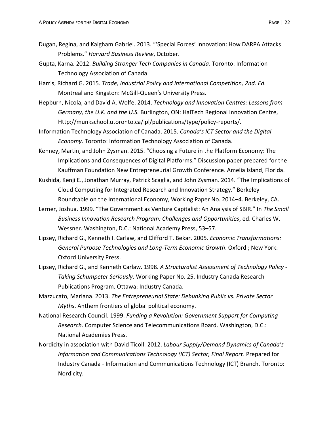- Dugan, Regina, and Kaigham Gabriel. 2013. "'Special Forces' Innovation: How DARPA Attacks Problems." *Harvard Business Review*, October.
- Gupta, Karna. 2012. *Building Stronger Tech Companies in Canada*. Toronto: Information Technology Association of Canada.
- Harris, Richard G. 2015. *Trade, Industrial Policy and International Competition, 2nd. Ed.* Montreal and Kingston: McGill-Queen's University Press.
- Hepburn, Nicola, and David A. Wolfe. 2014. *Technology and Innovation Centres: Lessons from Germany, the U.K. and the U.S.* Burlington, ON: HalTech Regional Innovation Centre, Http://munkschool.utoronto.ca/ipl/publications/type/policy-reports/.
- Information Technology Association of Canada. 2015. *Canada's ICT Sector and the Digital Economy*. Toronto: Information Technology Association of Canada.
- Kenney, Martin, and John Zysman. 2015. "Choosing a Future in the Platform Economy: The Implications and Consequences of Digital Platforms." Discussion paper prepared for the Kauffman Foundation New Entrepreneurial Growth Conference. Amelia Island, Florida.
- Kushida, Kenji E., Jonathan Murray, Patrick Scaglia, and John Zysman. 2014. "The Implications of Cloud Computing for Integrated Research and Innovation Strategy." Berkeley Roundtable on the International Economy, Working Paper No. 2014–4. Berkeley, CA.
- Lerner, Joshua. 1999. "The Government as Venture Capitalist: An Analysis of SBIR." In *The Small Business Innovation Research Program: Challenges and Opportunities*, ed. Charles W. Wessner. Washington, D.C.: National Academy Press, 53–57.
- Lipsey, Richard G., Kenneth I. Carlaw, and Clifford T. Bekar. 2005. *Economic Transformations: General Purpose Technologies and Long-Term Economic Growth*. Oxford ; New York: Oxford University Press.
- Lipsey, Richard G., and Kenneth Carlaw. 1998. *A Structuralist Assessment of Technology Policy - Taking Schumpeter Seriously*. Working Paper No. 25. Industry Canada Research Publications Program. Ottawa: Industry Canada.
- Mazzucato, Mariana. 2013. *The Entrepreneurial State: Debunking Public vs. Private Sector Myths*. Anthem frontiers of global political economy.
- National Research Council. 1999. *Funding a Revolution: Government Support for Computing Research*. Computer Science and Telecommunications Board. Washington, D.C.: National Academies Press.
- Nordicity in association with David Ticoll. 2012. *Labour Supply/Demand Dynamics of Canada's Information and Communications Technology (ICT) Sector, Final Report*. Prepared for Industry Canada - Information and Communications Technology (ICT) Branch. Toronto: Nordicity.